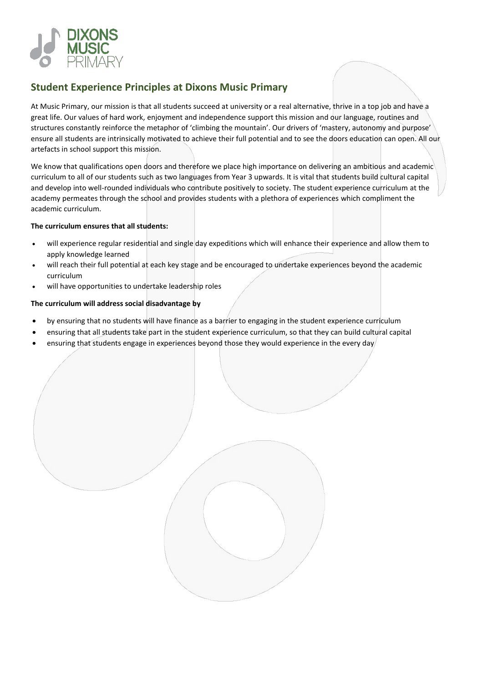

# **Student Experience Principles at Dixons Music Primary**

At Music Primary, our mission is that all students succeed at university or a real alternative, thrive in a top job and have a great life. Our values of hard work, enjoyment and independence support this mission and our language, routines and structures constantly reinforce the metaphor of 'climbing the mountain'. Our drivers of 'mastery, autonomy and purpose' ensure all students are intrinsically motivated to achieve their full potential and to see the doors education can open. All our artefacts in school support this mission.

We know that qualifications open doors and therefore we place high importance on delivering an ambitious and academic curriculum to all of our students such as two languages from Year 3 upwards. It is vital that students build cultural capital and develop into well-rounded individuals who contribute positively to society. The student experience curriculum at the academy permeates through the school and provides students with a plethora of experiences which compliment the academic curriculum.

#### **The curriculum ensures that all students:**

- will experience regular residential and single day expeditions which will enhance their experience and allow them to apply knowledge learned
- will reach their full potential at each key stage and be encouraged to undertake experiences beyond the academic curriculum
- will have opportunities to undertake leadership roles

## **The curriculum will address social disadvantage by**

- by ensuring that no students will have finance as a barrier to engaging in the student experience curriculum
- ensuring that all students take part in the student experience curriculum, so that they can build cultural capital
- ensuring that students engage in experiences beyond those they would experience in the every day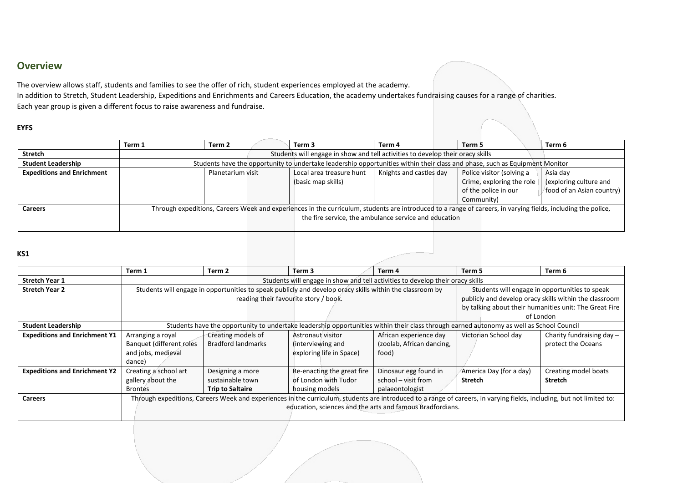# **Overview**

The overview allows staff, students and families to see the offer of rich, student experiences employed at the academy.

In addition to Stretch, Student Leadership, Expeditions and Enrichments and Careers Education, the academy undertakes fundraising causes for a range of charities. Each year group is given a different focus to raise awareness and fundraise.

### **EYFS**

|                                   | Term 1 | Term 2                                                                                                                      | Term <sub>3</sub>                                                                                                                                            | Term 4                                                | Term 5                    | Term 6                    |
|-----------------------------------|--------|-----------------------------------------------------------------------------------------------------------------------------|--------------------------------------------------------------------------------------------------------------------------------------------------------------|-------------------------------------------------------|---------------------------|---------------------------|
| <b>Stretch</b>                    |        | Students will engage in show and tell activities to develop their oracy skills                                              |                                                                                                                                                              |                                                       |                           |                           |
| <b>Student Leadership</b>         |        | Students have the opportunity to undertake leadership opportunities within their class and phase, such as Equipment Monitor |                                                                                                                                                              |                                                       |                           |                           |
| <b>Expeditions and Enrichment</b> |        | Planetarium visit                                                                                                           | Local area treasure hunt                                                                                                                                     | Knights and castles day                               | Police visitor (solving a | Asia day                  |
|                                   |        |                                                                                                                             | (basic map skills)                                                                                                                                           |                                                       | Crime, exploring the role | (exploring culture and    |
|                                   |        |                                                                                                                             |                                                                                                                                                              |                                                       | of the police in our      | food of an Asian country) |
|                                   |        |                                                                                                                             |                                                                                                                                                              |                                                       | Community)                |                           |
| <b>Careers</b>                    |        |                                                                                                                             | Through expeditions, Careers Week and experiences in the curriculum, students are introduced to a range of careers, in varying fields, including the police, |                                                       |                           |                           |
|                                   |        |                                                                                                                             |                                                                                                                                                              | the fire service, the ambulance service and education |                           |                           |
|                                   |        |                                                                                                                             |                                                                                                                                                              |                                                       |                           |                           |

### **KS1**

|                                      | Term 1                                                                                                                                                     | Term 2                    | Term 3                                                                                                                                                                | Term 4                    | Term 5                  | Term 6                      |
|--------------------------------------|------------------------------------------------------------------------------------------------------------------------------------------------------------|---------------------------|-----------------------------------------------------------------------------------------------------------------------------------------------------------------------|---------------------------|-------------------------|-----------------------------|
| <b>Stretch Year 1</b>                | Students will engage in show and tell activities to develop their oracy skills                                                                             |                           |                                                                                                                                                                       |                           |                         |                             |
| <b>Stretch Year 2</b>                | Students will engage in opportunities to speak publicly and develop oracy skills within the classroom by<br>Students will engage in opportunities to speak |                           |                                                                                                                                                                       |                           |                         |                             |
|                                      | reading their favourite story / book.<br>publicly and develop oracy skills within the classroom                                                            |                           |                                                                                                                                                                       |                           |                         |                             |
|                                      | by talking about their humanities unit: The Great Fire                                                                                                     |                           |                                                                                                                                                                       |                           |                         |                             |
|                                      |                                                                                                                                                            |                           |                                                                                                                                                                       |                           |                         | of London                   |
| <b>Student Leadership</b>            | Students have the opportunity to undertake leadership opportunities within their class through earned autonomy as well as School Council                   |                           |                                                                                                                                                                       |                           |                         |                             |
| <b>Expeditions and Enrichment Y1</b> | Arranging a royal                                                                                                                                          | Creating models of        | <b>Astronaut visitor</b>                                                                                                                                              | African experience day    | Victorian School day    | Charity fundraising day $-$ |
|                                      | Banquet (different roles                                                                                                                                   | <b>Bradford landmarks</b> | (interviewing and                                                                                                                                                     | (zoolab, African dancing, |                         | protect the Oceans          |
|                                      | and jobs, medieval                                                                                                                                         |                           | exploring life in Space)                                                                                                                                              | food)                     |                         |                             |
|                                      | dance)                                                                                                                                                     |                           |                                                                                                                                                                       |                           |                         |                             |
| <b>Expeditions and Enrichment Y2</b> | Creating a school art                                                                                                                                      | Designing a more          | Re-enacting the great fire                                                                                                                                            | Dinosaur egg found in     | America Day (for a day) | Creating model boats        |
|                                      | gallery about the                                                                                                                                          | sustainable town          | of London with Tudor                                                                                                                                                  | school – visit from       | <b>Stretch</b>          | <b>Stretch</b>              |
|                                      | <b>Brontes</b>                                                                                                                                             | <b>Trip to Saltaire</b>   | housing models                                                                                                                                                        | palaeontologist           |                         |                             |
| <b>Careers</b>                       |                                                                                                                                                            |                           | Through expeditions, Careers Week and experiences in the curriculum, students are introduced to a range of careers, in varying fields, including, but not limited to: |                           |                         |                             |
|                                      |                                                                                                                                                            |                           | education, sciences and the arts and famous Bradfordians.                                                                                                             |                           |                         |                             |
|                                      |                                                                                                                                                            |                           |                                                                                                                                                                       |                           |                         |                             |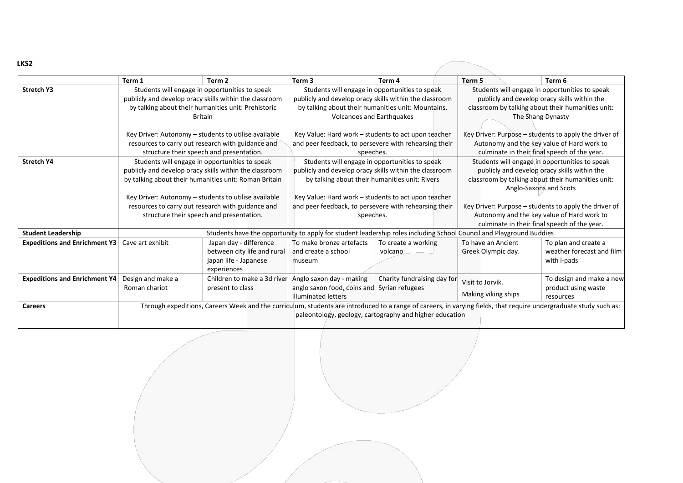| I<br>. .<br>۰. |
|----------------|
|----------------|

|                                      | Term 1                                                                                                                                                                            | Term 2                                                                                                                                                          | Term 3                                                                                                                                                                                      | Term 4                                                  | Term 5                                                                                                                                                                        | Term 6                                                           |
|--------------------------------------|-----------------------------------------------------------------------------------------------------------------------------------------------------------------------------------|-----------------------------------------------------------------------------------------------------------------------------------------------------------------|---------------------------------------------------------------------------------------------------------------------------------------------------------------------------------------------|---------------------------------------------------------|-------------------------------------------------------------------------------------------------------------------------------------------------------------------------------|------------------------------------------------------------------|
| <b>Stretch Y3</b>                    | Students will engage in opportunities to speak<br>publicly and develop oracy skills within the classroom<br>by talking about their humanities unit: Prehistoric<br><b>Britain</b> |                                                                                                                                                                 | Students will engage in opportunities to speak<br>publicly and develop oracy skills within the classroom<br>by talking about their humanities unit: Mountains,<br>Volcanoes and Earthquakes |                                                         | Students will engage in opportunities to speak<br>publicly and develop oracy skills within the<br>classroom by talking about their humanities unit:<br>The Shang Dynasty      |                                                                  |
|                                      | structure their speech and presentation.                                                                                                                                          | Key Driver: Autonomy - students to utilise available<br>resources to carry out research with guidance and                                                       | Key Value: Hard work - students to act upon teacher<br>and peer feedback, to persevere with rehearsing their<br>speeches.                                                                   |                                                         | Key Driver: Purpose – students to apply the driver of<br>Autonomy and the key value of Hard work to<br>culminate in their final speech of the year.                           |                                                                  |
| <b>Stretch Y4</b>                    | publicly and develop oracy skills within the classroom                                                                                                                            | Students will engage in opportunities to speak<br>by talking about their humanities unit: Roman Britain<br>Key Driver: Autonomy - students to utilise available | Students will engage in opportunities to speak<br>publicly and develop oracy skills within the classroom<br>by talking about their humanities unit: Rivers                                  |                                                         | Students will engage in opportunities to speak<br>publicly and develop oracy skills within the<br>classroom by talking about their humanities unit:<br>Anglo-Saxons and Scots |                                                                  |
|                                      | structure their speech and presentation.                                                                                                                                          | resources to carry out research with guidance and                                                                                                               | Key Value: Hard work - students to act upon teacher<br>and peer feedback, to persevere with rehearsing their<br>speeches.                                                                   |                                                         | Key Driver: Purpose – students to apply the driver of<br>Autonomy and the key value of Hard work to<br>culminate in their final speech of the year.                           |                                                                  |
| <b>Student Leadership</b>            | Students have the opportunity to apply for student leadership roles including School Council and Playground Buddies                                                               |                                                                                                                                                                 |                                                                                                                                                                                             |                                                         |                                                                                                                                                                               |                                                                  |
| <b>Expeditions and Enrichment Y3</b> | Cave art exhibit                                                                                                                                                                  | Japan day - difference<br>between city life and rural<br>japan life - Japanese<br>experiences                                                                   | To make bronze artefacts<br>and create a school<br>museum                                                                                                                                   | To create a working<br>volcano                          | To have an Ancient<br>Greek Olympic day.                                                                                                                                      | To plan and create a<br>weather forecast and film<br>with i-pads |
| <b>Expeditions and Enrichment Y4</b> | Design and make a<br>Roman chariot                                                                                                                                                | Children to make a 3d river<br>present to class                                                                                                                 | Anglo saxon day - making<br>anglo saxon food, coins and<br>illuminated letters                                                                                                              | Charity fundraising day for<br>Syrian refugees          | Visit to Jorvik.<br>Making viking ships                                                                                                                                       | To design and make a new<br>product using waste<br>resources     |
| <b>Careers</b>                       |                                                                                                                                                                                   |                                                                                                                                                                 | Through expeditions, Careers Week and the curriculum, students are introduced to a range of careers, in varying fields, that require undergraduate study such as:                           | paleontology, geology, cartography and higher education |                                                                                                                                                                               |                                                                  |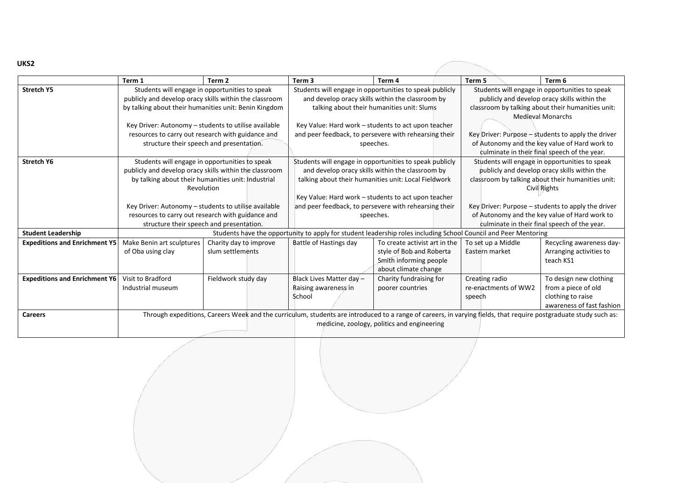|                                      | Term 1                                                                                                          | Term <sub>2</sub>                                      | Term <sub>3</sub>                                                                                           | Term 4                                                                                                                                                           | Term 5                                             | Term 6                                         |  |
|--------------------------------------|-----------------------------------------------------------------------------------------------------------------|--------------------------------------------------------|-------------------------------------------------------------------------------------------------------------|------------------------------------------------------------------------------------------------------------------------------------------------------------------|----------------------------------------------------|------------------------------------------------|--|
| <b>Stretch Y5</b>                    | Students will engage in opportunities to speak                                                                  |                                                        | Students will engage in opportunities to speak publicly                                                     |                                                                                                                                                                  | Students will engage in opportunities to speak     |                                                |  |
|                                      | publicly and develop oracy skills within the classroom                                                          |                                                        | and develop oracy skills within the classroom by                                                            |                                                                                                                                                                  | publicly and develop oracy skills within the       |                                                |  |
|                                      |                                                                                                                 | by talking about their humanities unit: Benin Kingdom  | talking about their humanities unit: Slums                                                                  |                                                                                                                                                                  | classroom by talking about their humanities unit:  |                                                |  |
|                                      |                                                                                                                 |                                                        |                                                                                                             |                                                                                                                                                                  | <b>Medieval Monarchs</b>                           |                                                |  |
|                                      |                                                                                                                 | Key Driver: Autonomy - students to utilise available   | Key Value: Hard work - students to act upon teacher                                                         |                                                                                                                                                                  |                                                    |                                                |  |
|                                      |                                                                                                                 | resources to carry out research with guidance and      | and peer feedback, to persevere with rehearsing their                                                       |                                                                                                                                                                  | Key Driver: Purpose – students to apply the driver |                                                |  |
|                                      |                                                                                                                 | structure their speech and presentation.               |                                                                                                             | speeches.                                                                                                                                                        |                                                    | of Autonomy and the key value of Hard work to  |  |
|                                      |                                                                                                                 |                                                        |                                                                                                             |                                                                                                                                                                  |                                                    | culminate in their final speech of the year.   |  |
| <b>Stretch Y6</b>                    |                                                                                                                 | Students will engage in opportunities to speak         |                                                                                                             | Students will engage in opportunities to speak publicly                                                                                                          |                                                    | Students will engage in opportunities to speak |  |
|                                      |                                                                                                                 | publicly and develop oracy skills within the classroom |                                                                                                             | and develop oracy skills within the classroom by                                                                                                                 |                                                    | publicly and develop oracy skills within the   |  |
|                                      |                                                                                                                 | by talking about their humanities unit: Industrial     | talking about their humanities unit: Local Fieldwork<br>classroom by talking about their humanities unit:   |                                                                                                                                                                  |                                                    |                                                |  |
|                                      |                                                                                                                 | Revolution                                             | Civil Rights                                                                                                |                                                                                                                                                                  |                                                    |                                                |  |
|                                      |                                                                                                                 |                                                        | Key Value: Hard work - students to act upon teacher                                                         |                                                                                                                                                                  |                                                    |                                                |  |
|                                      |                                                                                                                 | Key Driver: Autonomy - students to utilise available   | and peer feedback, to persevere with rehearsing their<br>Key Driver: Purpose – students to apply the driver |                                                                                                                                                                  |                                                    |                                                |  |
|                                      |                                                                                                                 | resources to carry out research with guidance and      | of Autonomy and the key value of Hard work to<br>speeches.                                                  |                                                                                                                                                                  |                                                    |                                                |  |
|                                      | structure their speech and presentation.                                                                        |                                                        | culminate in their final speech of the year.                                                                |                                                                                                                                                                  |                                                    |                                                |  |
| <b>Student Leadership</b>            | Students have the opportunity to apply for student leadership roles including School Council and Peer Mentoring |                                                        |                                                                                                             |                                                                                                                                                                  |                                                    |                                                |  |
| <b>Expeditions and Enrichment Y5</b> | Make Benin art sculptures                                                                                       | Charity day to improve                                 | Battle of Hastings day                                                                                      | To create activist art in the                                                                                                                                    | To set up a Middle                                 | Recycling awareness day-                       |  |
|                                      | of Oba using clay                                                                                               | slum settlements                                       |                                                                                                             | style of Bob and Roberta                                                                                                                                         | Eastern market                                     | Arranging activities to                        |  |
|                                      |                                                                                                                 |                                                        |                                                                                                             | Smith informing people                                                                                                                                           |                                                    | teach KS1                                      |  |
|                                      |                                                                                                                 |                                                        |                                                                                                             | about climate change                                                                                                                                             |                                                    |                                                |  |
| <b>Expeditions and Enrichment Y6</b> | Visit to Bradford                                                                                               | Fieldwork study day                                    | Black Lives Matter day -                                                                                    | Charity fundraising for                                                                                                                                          | Creating radio                                     | To design new clothing                         |  |
|                                      | Industrial museum                                                                                               |                                                        | Raising awareness in                                                                                        | poorer countries                                                                                                                                                 | re-enactments of WW2                               | from a piece of old                            |  |
|                                      |                                                                                                                 |                                                        | School                                                                                                      |                                                                                                                                                                  | speech                                             | clothing to raise                              |  |
|                                      |                                                                                                                 |                                                        |                                                                                                             |                                                                                                                                                                  |                                                    | awareness of fast fashion                      |  |
| <b>Careers</b>                       |                                                                                                                 |                                                        |                                                                                                             | Through expeditions, Careers Week and the curriculum, students are introduced to a range of careers, in varying fields, that require postgraduate study such as: |                                                    |                                                |  |
|                                      |                                                                                                                 |                                                        |                                                                                                             | medicine, zoology, politics and engineering                                                                                                                      |                                                    |                                                |  |
|                                      |                                                                                                                 |                                                        |                                                                                                             |                                                                                                                                                                  |                                                    |                                                |  |